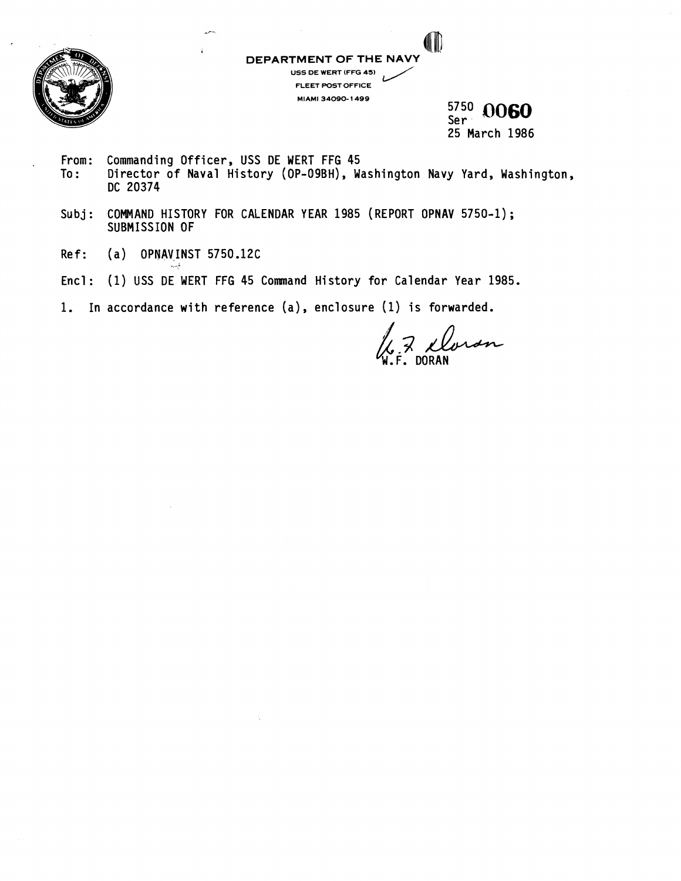

**DEPARTMENT OF THE NA US5 WE WERT (FFG 45) FLEET POST OFFICE MIAMI 34090- 1499** 

 $\frac{5750}{500}$  0060 Ser : 25 March 1986

From: Commanding Officer, USS DE WERT FFG 45<br>To: Director of Naval History (OP-09BH), Wa

**i"** 

**L** 

- Director of Naval History (OP-09BH), Washington Navy Yard, Washington, DC 20374
- Subj: COMMAND HISTORY FOR CALENDAR YEAR 1985 (REPORT OPNAV 5750-1); SUBMISSION OF
- Ref: (a) OPNAVINST 5750.12C
- Encl: (1) USS DE WERT FFG 45 Command History for Calendar Year 1985.
- 1. In accordance with reference (a), enclosure (1) is forwarded.

7 Doron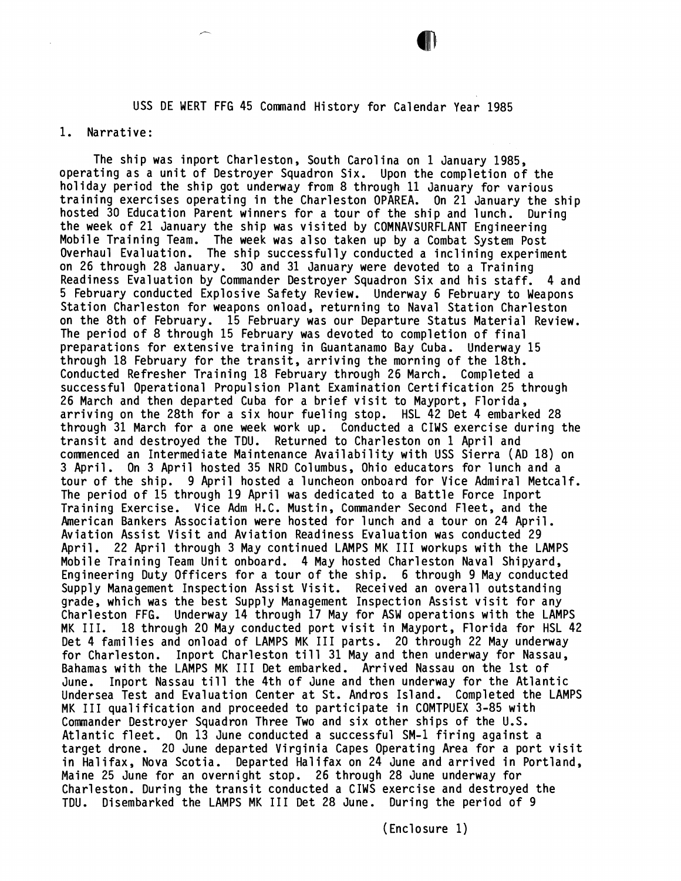USS DE WERT FFG 45 Command History for Calendar Year 1985

## 1. Narrative:

The ship was inport Charleston, \$outh Carolina on 1 January 1985, operating as a unit of Destroyer Squadron Six. Upon the completion of the holiday period the ship got underway from 8 through 11 January for various training exercises operating in the Charleston OPAREA. On 21 January the ship hosted 30 Education Parent winners for a tour of the ship and lunch. During the week of 21 January the ship was visited by COMNAVSURFLANT Engineering Mobile Training Team. The week was also taken up by a Combat System Post Overhaul Evaluation. The ship successfully conducted a inclining experiment on 26 through 28 January. 30 and 31 January were devoted to a Training Readiness Evaluation by Commander Destroyer Squadron Six and his staff. 4 and 5 February conducted Explosive Safety Review. Underway 6 February to Weapons Station Charleston for weapons onload, returning to Naval Station Charleston on the 8th of February. 15 February was our Departure Status Material Review. The period of 8 through 15 February was devoted to completion of final preparations for extensive training in Guantanamo Bay Cuba. Underway 15 through 18 February for the transit, arriving the morning of the 18th. Conducted Refresher Training 18 February through 26 March. Completed a successful Operational Propulsion Plant Examination Certification 25 through 26 March and then departed Cuba for a brief visit to Mayport, Florida, arriving on the 28th for a six hour fueling stop. HSL 42 Det 4 embarked 28 through 31 March for a one week work up. Conducted a CIWS exercise during the transit and destroyed the TDU. Returned to Charleston on 1 April and comenced an Intermediate Maintenance Availability with USS Sierra (AD 18) on 3 April. On 3 April hosted 35 NRD Columbus, Ohio educators for lunch and a tour of the ship. 9 April hosted a luncheon onboard for Vice Admiral Metcalf. The period of 15 through 19 April was dedicated to a Battle Force Inport Training Exercise. Vice Adm H.C. Mustin, Commander Second Fleet, and the American Bankers Association were hosted for lunch and a tour on 24 April. Aviation Assist Visit and Aviation Readiness Evaluation was conducted 29 April. 22 April through 3 May continued LAMPS MK I11 workups with the LAMPS Mobile Training Team Unit onboard. 4 May hosted Charleston Naval Shipyard, Engineering Duty Officers for a tour of the ship. 6 through 9 May conducted Supply Management Inspection Assist Visit. Received an overall outstanding grade, which was the best Supply Management Inspection Assist visit for any Charleston FFG. Underway 14 through 17 May for ASW operations with the LAMPS MK 111. 18 through 20 May conducted port visit in Mayport, Florida for HSL 42 Det 4 families and onload of LAMPS MK I11 parts. 20 through 22 May underway for Charleston. Inport Charleston till 31 May and then underway for Nassau, Bahamas with the LAMPS MK I11 Det embarked. Arrived Nassau on the 1st of June. Inport Nassau till the 4th of June and then underway for the Atlantic Undersea Test and Evaluation Center at St. Andros Island. Completed the LAMPS MK I11 qualification and proceeded to participate in COMTPUEX 3-85 with Commander Destroyer Squadron Three Two and six other ships of the U.S. Atlantic fleet. On 13 June conducted **a** successful SM-1 firing against a target drone. 20 June departed Virginia Capes Operating Area for a port visit in Halifax, Nova Scotia. Departed Halifax on 24 June and arrived in Portland, Maine 25 June for an overnight stop. 26 through 28 June underway for Charleston. During the transit conducted a CIWS exercise and destroyed the TDU. Disembarked the LAMPS MK I11 Det 28 June. During the period of 9

(Enclosure 1)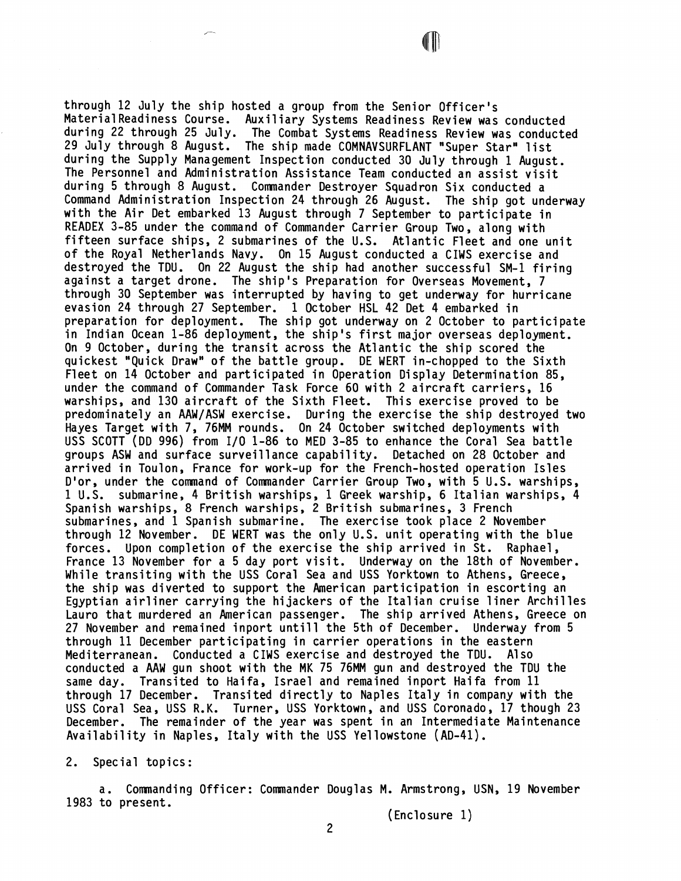through 12 July the ship hosted a group from the Senior Officer's MaterialReadiness Course. Auxiliary Systems Readiness Review was conducted during 22 through 25 July. The Combat Systems Readiness Review was conducted 29 July through 8 August. The ship made COMNAVSURFLANT "Super Star" list during the Supply Management Inspection conducted 30 July through 1 August. The Personnel and Administration Assistance Team conducted an assist visit during 5 through 8 August. Comnander Destroyer Squadron Six conducted a Command Administration Inspection 24 through 26 August. The ship got underway with the Air Det embarked 13 August through 7 September to participate in READEX 3-85 under the command of Commander Carrier Group Two, along with fifteen surface ships, 2 submarines of the U.S. Atlantic Fleet and one unit of the Royal Netherlands Navy. On 15 August conducted a CIWS exercise and destroyed the TDU. On 22 August the ship had another successful SM-1 firing against a target drone. The ship's Preparation for Overseas Movement, 7 through 30 September was interrupted by having to get underway for hurricane evasion 24 through 27 September. 1 October HSL 42 Det 4 embarked in preparation for deployment. The ship got underway on 2 October to participate in Indian Ocean 1-86 deployment, the ship's first major overseas deployment. On 9 October, during the transit across the Atlantic the ship scored the quickest 'Quick Draw" of the battle group. DE WERT in-chopped to the Sixth Fleet on 14 October and participated in Operation Display Determination 85, under the command of Commander Task Force 60 with 2 aircraft carriers, 16 warships, and 130 aircraft of the Sixth Fleet. This exercise proved to be predominately an AAW/ASW exercise. During the exercise the ship destroyed two Hayes Target with 7, 76MM rounds. On 24 October switched deployments with USS SCOTT (DD 996) from I/O 1-86 to MED 3-85 to enhance the Coral Sea battle groups ASW and surface surveillance capability. Detached on 28 October and arrived in Toulon, France for work-up for the French-hosted operation Isles D'or, under the comnand of Comnander Carrier Group TWO, with 5 U.S. warships, 1 U.S. submarine, 4 British warships, 1 Greek warship, 6 Italian warships, 4 Spanish warships, 8 French warships, 2 British submarines, 3 French submarines, and 1 Spanish submarine. The exercise took place 2 November through 12 November. DE WERT was the only U.S. unit operating with the blue forces. Upon completion of the exercise the ship arrived in St. Raphael, France 13 November for a 5 day port visit. Underway on the 18th of November. While transiting with the USS Coral Sea and USS Yorktown to Athens, Greece, the ship was diverted to support the American participation in escorting an Egyptian airliner carrying the hijackers of the Italian cruise liner Archilles Lauro that murdered an American passenger. The ship arrived Athens, Greece on 27 November and remained inport until1 the 5th of December. Underway from 5 through 11 December participating in carrier operations in the eastern Mediterranean. Conducted a CIWS exercise and destroyed the TDU. Also conducted a AAW gun shoot with the MK 75 76MM gun and destroyed the TDU the same day. Transited to Haifa, Israel and remained inport Haifa from 11 through 17 December. Transited directly to Naples Italy in company with the USS Coral Sea, USS R.K. Turner, USS Yorktown, and USS Coronado, 17 though 23 December. The remainder of the year was spent in an Intermediate Maintenance Availability in Naples, Italy with the USS Yellowstone (AD-41).

2. Special topics:

a. Commanding Officer: Commander Douglas M. Armstrong, USN, 19 November 1983 to present.

(Enclosure 1)